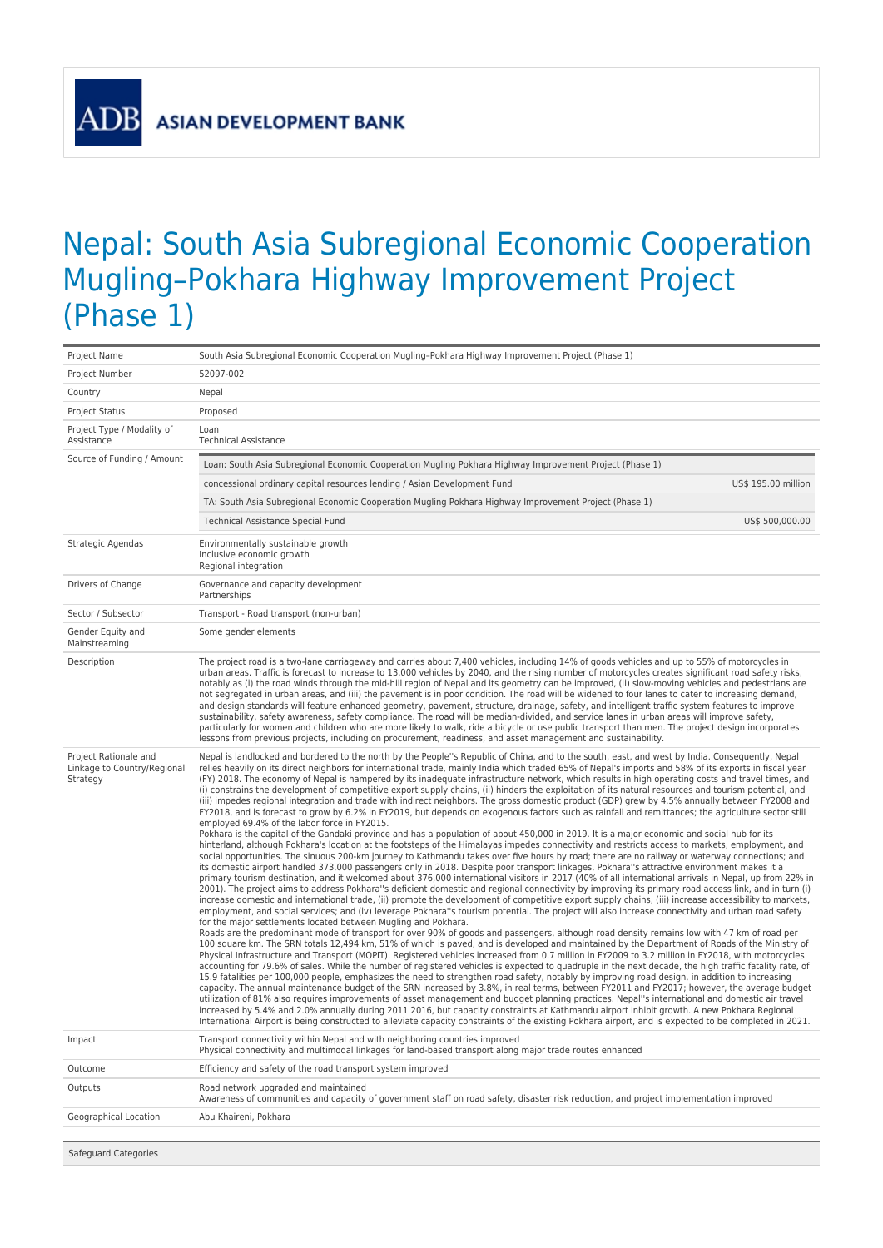**ADB** 

## Nepal: South Asia Subregional Economic Cooperation Mugling–Pokhara Highway Improvement Project (Phase 1)

| Project Name                                                     | South Asia Subregional Economic Cooperation Mugling-Pokhara Highway Improvement Project (Phase 1)                                                                                                                                                                                                                                                                                                                                                                                                                                                                                                                                                                                                                                                                                                                                                                                                                                                                                                                                                                                                                                                                                                                                                                                                                                                                                                                                                                                                                                                                                                                                                                                                                                                                                                                                                                                                                                                                                                                                                                                                                                                                                                                                                                                                                                                                                                                                                                                                                                                                                                                                                                                                                                                                                                                                                                                                                                                                                                                                                                                                                                                                                                                                                                                                                                                                                                                                                                                                                                                                                                                                                             |
|------------------------------------------------------------------|---------------------------------------------------------------------------------------------------------------------------------------------------------------------------------------------------------------------------------------------------------------------------------------------------------------------------------------------------------------------------------------------------------------------------------------------------------------------------------------------------------------------------------------------------------------------------------------------------------------------------------------------------------------------------------------------------------------------------------------------------------------------------------------------------------------------------------------------------------------------------------------------------------------------------------------------------------------------------------------------------------------------------------------------------------------------------------------------------------------------------------------------------------------------------------------------------------------------------------------------------------------------------------------------------------------------------------------------------------------------------------------------------------------------------------------------------------------------------------------------------------------------------------------------------------------------------------------------------------------------------------------------------------------------------------------------------------------------------------------------------------------------------------------------------------------------------------------------------------------------------------------------------------------------------------------------------------------------------------------------------------------------------------------------------------------------------------------------------------------------------------------------------------------------------------------------------------------------------------------------------------------------------------------------------------------------------------------------------------------------------------------------------------------------------------------------------------------------------------------------------------------------------------------------------------------------------------------------------------------------------------------------------------------------------------------------------------------------------------------------------------------------------------------------------------------------------------------------------------------------------------------------------------------------------------------------------------------------------------------------------------------------------------------------------------------------------------------------------------------------------------------------------------------------------------------------------------------------------------------------------------------------------------------------------------------------------------------------------------------------------------------------------------------------------------------------------------------------------------------------------------------------------------------------------------------------------------------------------------------------------------------------------------------|
| Project Number                                                   | 52097-002                                                                                                                                                                                                                                                                                                                                                                                                                                                                                                                                                                                                                                                                                                                                                                                                                                                                                                                                                                                                                                                                                                                                                                                                                                                                                                                                                                                                                                                                                                                                                                                                                                                                                                                                                                                                                                                                                                                                                                                                                                                                                                                                                                                                                                                                                                                                                                                                                                                                                                                                                                                                                                                                                                                                                                                                                                                                                                                                                                                                                                                                                                                                                                                                                                                                                                                                                                                                                                                                                                                                                                                                                                                     |
| Country                                                          | Nepal                                                                                                                                                                                                                                                                                                                                                                                                                                                                                                                                                                                                                                                                                                                                                                                                                                                                                                                                                                                                                                                                                                                                                                                                                                                                                                                                                                                                                                                                                                                                                                                                                                                                                                                                                                                                                                                                                                                                                                                                                                                                                                                                                                                                                                                                                                                                                                                                                                                                                                                                                                                                                                                                                                                                                                                                                                                                                                                                                                                                                                                                                                                                                                                                                                                                                                                                                                                                                                                                                                                                                                                                                                                         |
| <b>Project Status</b>                                            | Proposed                                                                                                                                                                                                                                                                                                                                                                                                                                                                                                                                                                                                                                                                                                                                                                                                                                                                                                                                                                                                                                                                                                                                                                                                                                                                                                                                                                                                                                                                                                                                                                                                                                                                                                                                                                                                                                                                                                                                                                                                                                                                                                                                                                                                                                                                                                                                                                                                                                                                                                                                                                                                                                                                                                                                                                                                                                                                                                                                                                                                                                                                                                                                                                                                                                                                                                                                                                                                                                                                                                                                                                                                                                                      |
| Project Type / Modality of<br>Assistance                         | Loan<br><b>Technical Assistance</b>                                                                                                                                                                                                                                                                                                                                                                                                                                                                                                                                                                                                                                                                                                                                                                                                                                                                                                                                                                                                                                                                                                                                                                                                                                                                                                                                                                                                                                                                                                                                                                                                                                                                                                                                                                                                                                                                                                                                                                                                                                                                                                                                                                                                                                                                                                                                                                                                                                                                                                                                                                                                                                                                                                                                                                                                                                                                                                                                                                                                                                                                                                                                                                                                                                                                                                                                                                                                                                                                                                                                                                                                                           |
| Source of Funding / Amount                                       | Loan: South Asia Subregional Economic Cooperation Mugling Pokhara Highway Improvement Project (Phase 1)                                                                                                                                                                                                                                                                                                                                                                                                                                                                                                                                                                                                                                                                                                                                                                                                                                                                                                                                                                                                                                                                                                                                                                                                                                                                                                                                                                                                                                                                                                                                                                                                                                                                                                                                                                                                                                                                                                                                                                                                                                                                                                                                                                                                                                                                                                                                                                                                                                                                                                                                                                                                                                                                                                                                                                                                                                                                                                                                                                                                                                                                                                                                                                                                                                                                                                                                                                                                                                                                                                                                                       |
|                                                                  | concessional ordinary capital resources lending / Asian Development Fund<br>US\$ 195.00 million                                                                                                                                                                                                                                                                                                                                                                                                                                                                                                                                                                                                                                                                                                                                                                                                                                                                                                                                                                                                                                                                                                                                                                                                                                                                                                                                                                                                                                                                                                                                                                                                                                                                                                                                                                                                                                                                                                                                                                                                                                                                                                                                                                                                                                                                                                                                                                                                                                                                                                                                                                                                                                                                                                                                                                                                                                                                                                                                                                                                                                                                                                                                                                                                                                                                                                                                                                                                                                                                                                                                                               |
|                                                                  | TA: South Asia Subregional Economic Cooperation Mugling Pokhara Highway Improvement Project (Phase 1)                                                                                                                                                                                                                                                                                                                                                                                                                                                                                                                                                                                                                                                                                                                                                                                                                                                                                                                                                                                                                                                                                                                                                                                                                                                                                                                                                                                                                                                                                                                                                                                                                                                                                                                                                                                                                                                                                                                                                                                                                                                                                                                                                                                                                                                                                                                                                                                                                                                                                                                                                                                                                                                                                                                                                                                                                                                                                                                                                                                                                                                                                                                                                                                                                                                                                                                                                                                                                                                                                                                                                         |
|                                                                  | US\$ 500,000.00<br><b>Technical Assistance Special Fund</b>                                                                                                                                                                                                                                                                                                                                                                                                                                                                                                                                                                                                                                                                                                                                                                                                                                                                                                                                                                                                                                                                                                                                                                                                                                                                                                                                                                                                                                                                                                                                                                                                                                                                                                                                                                                                                                                                                                                                                                                                                                                                                                                                                                                                                                                                                                                                                                                                                                                                                                                                                                                                                                                                                                                                                                                                                                                                                                                                                                                                                                                                                                                                                                                                                                                                                                                                                                                                                                                                                                                                                                                                   |
| Strategic Agendas                                                | Environmentally sustainable growth<br>Inclusive economic growth<br>Regional integration                                                                                                                                                                                                                                                                                                                                                                                                                                                                                                                                                                                                                                                                                                                                                                                                                                                                                                                                                                                                                                                                                                                                                                                                                                                                                                                                                                                                                                                                                                                                                                                                                                                                                                                                                                                                                                                                                                                                                                                                                                                                                                                                                                                                                                                                                                                                                                                                                                                                                                                                                                                                                                                                                                                                                                                                                                                                                                                                                                                                                                                                                                                                                                                                                                                                                                                                                                                                                                                                                                                                                                       |
| Drivers of Change                                                | Governance and capacity development<br>Partnerships                                                                                                                                                                                                                                                                                                                                                                                                                                                                                                                                                                                                                                                                                                                                                                                                                                                                                                                                                                                                                                                                                                                                                                                                                                                                                                                                                                                                                                                                                                                                                                                                                                                                                                                                                                                                                                                                                                                                                                                                                                                                                                                                                                                                                                                                                                                                                                                                                                                                                                                                                                                                                                                                                                                                                                                                                                                                                                                                                                                                                                                                                                                                                                                                                                                                                                                                                                                                                                                                                                                                                                                                           |
| Sector / Subsector                                               | Transport - Road transport (non-urban)                                                                                                                                                                                                                                                                                                                                                                                                                                                                                                                                                                                                                                                                                                                                                                                                                                                                                                                                                                                                                                                                                                                                                                                                                                                                                                                                                                                                                                                                                                                                                                                                                                                                                                                                                                                                                                                                                                                                                                                                                                                                                                                                                                                                                                                                                                                                                                                                                                                                                                                                                                                                                                                                                                                                                                                                                                                                                                                                                                                                                                                                                                                                                                                                                                                                                                                                                                                                                                                                                                                                                                                                                        |
| Gender Equity and<br>Mainstreaming                               | Some gender elements                                                                                                                                                                                                                                                                                                                                                                                                                                                                                                                                                                                                                                                                                                                                                                                                                                                                                                                                                                                                                                                                                                                                                                                                                                                                                                                                                                                                                                                                                                                                                                                                                                                                                                                                                                                                                                                                                                                                                                                                                                                                                                                                                                                                                                                                                                                                                                                                                                                                                                                                                                                                                                                                                                                                                                                                                                                                                                                                                                                                                                                                                                                                                                                                                                                                                                                                                                                                                                                                                                                                                                                                                                          |
| Description                                                      | The project road is a two-lane carriageway and carries about 7,400 vehicles, including 14% of goods vehicles and up to 55% of motorcycles in<br>urban areas. Traffic is forecast to increase to 13,000 vehicles by 2040, and the rising number of motorcycles creates significant road safety risks,<br>notably as (i) the road winds through the mid-hill region of Nepal and its geometry can be improved, (ii) slow-moving vehicles and pedestrians are<br>not segregated in urban areas, and (iii) the pavement is in poor condition. The road will be widened to four lanes to cater to increasing demand,<br>and design standards will feature enhanced geometry, pavement, structure, drainage, safety, and intelligent traffic system features to improve<br>sustainability, safety awareness, safety compliance. The road will be median-divided, and service lanes in urban areas will improve safety,<br>particularly for women and children who are more likely to walk, ride a bicycle or use public transport than men. The project design incorporates<br>lessons from previous projects, including on procurement, readiness, and asset management and sustainability.                                                                                                                                                                                                                                                                                                                                                                                                                                                                                                                                                                                                                                                                                                                                                                                                                                                                                                                                                                                                                                                                                                                                                                                                                                                                                                                                                                                                                                                                                                                                                                                                                                                                                                                                                                                                                                                                                                                                                                                                                                                                                                                                                                                                                                                                                                                                                                                                                                                                        |
| Project Rationale and<br>Linkage to Country/Regional<br>Strategy | Nepal is landlocked and bordered to the north by the People"s Republic of China, and to the south, east, and west by India. Consequently, Nepal<br>relies heavily on its direct neighbors for international trade, mainly India which traded 65% of Nepal's imports and 58% of its exports in fiscal year<br>(FY) 2018. The economy of Nepal is hampered by its inadequate infrastructure network, which results in high operating costs and travel times, and<br>(i) constrains the development of competitive export supply chains, (ii) hinders the exploitation of its natural resources and tourism potential, and<br>(iii) impedes regional integration and trade with indirect neighbors. The gross domestic product (GDP) grew by 4.5% annually between FY2008 and<br>FY2018, and is forecast to grow by 6.2% in FY2019, but depends on exogenous factors such as rainfall and remittances; the agriculture sector still<br>employed 69.4% of the labor force in FY2015.<br>Pokhara is the capital of the Gandaki province and has a population of about 450,000 in 2019. It is a major economic and social hub for its<br>hinterland, although Pokhara's location at the footsteps of the Himalayas impedes connectivity and restricts access to markets, employment, and<br>social opportunities. The sinuous 200-km journey to Kathmandu takes over five hours by road; there are no railway or waterway connections; and<br>its domestic airport handled 373,000 passengers only in 2018. Despite poor transport linkages, Pokhara"s attractive environment makes it a<br>primary tourism destination, and it welcomed about 376,000 international visitors in 2017 (40% of all international arrivals in Nepal, up from 22% in<br>2001). The project aims to address Pokhara"s deficient domestic and regional connectivity by improving its primary road access link, and in turn (i)<br>increase domestic and international trade, (ii) promote the development of competitive export supply chains, (iii) increase accessibility to markets,<br>employment, and social services; and (iv) leverage Pokhara"s tourism potential. The project will also increase connectivity and urban road safety<br>for the major settlements located between Mugling and Pokhara.<br>Roads are the predominant mode of transport for over 90% of goods and passengers, although road density remains low with 47 km of road per<br>100 square km. The SRN totals 12,494 km, 51% of which is paved, and is developed and maintained by the Department of Roads of the Ministry of<br>Physical Infrastructure and Transport (MOPIT). Registered vehicles increased from 0.7 million in FY2009 to 3.2 million in FY2018, with motorcycles<br>accounting for 79.6% of sales. While the number of registered vehicles is expected to quadruple in the next decade, the high traffic fatality rate, of<br>15.9 fatalities per 100,000 people, emphasizes the need to strengthen road safety, notably by improving road design, in addition to increasing<br>capacity. The annual maintenance budget of the SRN increased by 3.8%, in real terms, between FY2011 and FY2017; however, the average budget<br>utilization of 81% also requires improvements of asset management and budget planning practices. Nepal"s international and domestic air travel<br>increased by 5.4% and 2.0% annually during 2011 2016, but capacity constraints at Kathmandu airport inhibit growth. A new Pokhara Regional<br>International Airport is being constructed to alleviate capacity constraints of the existing Pokhara airport, and is expected to be completed in 2021. |
| Impact                                                           | Transport connectivity within Nepal and with neighboring countries improved<br>Physical connectivity and multimodal linkages for land-based transport along major trade routes enhanced                                                                                                                                                                                                                                                                                                                                                                                                                                                                                                                                                                                                                                                                                                                                                                                                                                                                                                                                                                                                                                                                                                                                                                                                                                                                                                                                                                                                                                                                                                                                                                                                                                                                                                                                                                                                                                                                                                                                                                                                                                                                                                                                                                                                                                                                                                                                                                                                                                                                                                                                                                                                                                                                                                                                                                                                                                                                                                                                                                                                                                                                                                                                                                                                                                                                                                                                                                                                                                                                       |
| Outcome                                                          | Efficiency and safety of the road transport system improved                                                                                                                                                                                                                                                                                                                                                                                                                                                                                                                                                                                                                                                                                                                                                                                                                                                                                                                                                                                                                                                                                                                                                                                                                                                                                                                                                                                                                                                                                                                                                                                                                                                                                                                                                                                                                                                                                                                                                                                                                                                                                                                                                                                                                                                                                                                                                                                                                                                                                                                                                                                                                                                                                                                                                                                                                                                                                                                                                                                                                                                                                                                                                                                                                                                                                                                                                                                                                                                                                                                                                                                                   |
| Outputs                                                          | Road network upgraded and maintained<br>Awareness of communities and capacity of government staff on road safety, disaster risk reduction, and project implementation improved                                                                                                                                                                                                                                                                                                                                                                                                                                                                                                                                                                                                                                                                                                                                                                                                                                                                                                                                                                                                                                                                                                                                                                                                                                                                                                                                                                                                                                                                                                                                                                                                                                                                                                                                                                                                                                                                                                                                                                                                                                                                                                                                                                                                                                                                                                                                                                                                                                                                                                                                                                                                                                                                                                                                                                                                                                                                                                                                                                                                                                                                                                                                                                                                                                                                                                                                                                                                                                                                                |
| Geographical Location                                            | Abu Khaireni, Pokhara                                                                                                                                                                                                                                                                                                                                                                                                                                                                                                                                                                                                                                                                                                                                                                                                                                                                                                                                                                                                                                                                                                                                                                                                                                                                                                                                                                                                                                                                                                                                                                                                                                                                                                                                                                                                                                                                                                                                                                                                                                                                                                                                                                                                                                                                                                                                                                                                                                                                                                                                                                                                                                                                                                                                                                                                                                                                                                                                                                                                                                                                                                                                                                                                                                                                                                                                                                                                                                                                                                                                                                                                                                         |
|                                                                  |                                                                                                                                                                                                                                                                                                                                                                                                                                                                                                                                                                                                                                                                                                                                                                                                                                                                                                                                                                                                                                                                                                                                                                                                                                                                                                                                                                                                                                                                                                                                                                                                                                                                                                                                                                                                                                                                                                                                                                                                                                                                                                                                                                                                                                                                                                                                                                                                                                                                                                                                                                                                                                                                                                                                                                                                                                                                                                                                                                                                                                                                                                                                                                                                                                                                                                                                                                                                                                                                                                                                                                                                                                                               |

Safeguard Categories